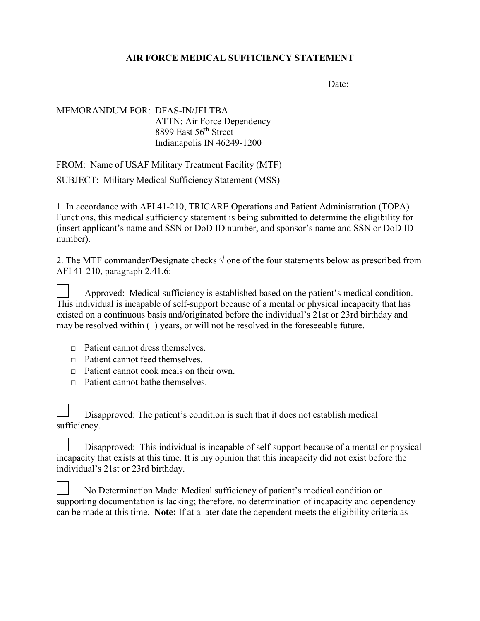## **AIR FORCE MEDICAL SUFFICIENCY STATEMENT**

Date:

## MEMORANDUM FOR: DFAS-IN/JFLTBA ATTN: Air Force Dependency 8899 East 56<sup>th</sup> Street Indianapolis IN 46249-1200

FROM: Name of USAF Military Treatment Facility (MTF)

SUBJECT: Military Medical Sufficiency Statement (MSS)

1. In accordance with AFI 41-210, TRICARE Operations and Patient Administration (TOPA) Functions, this medical sufficiency statement is being submitted to determine the eligibility for (insert applicant's name and SSN or DoD ID number, and sponsor's name and SSN or DoD ID number).

2. The MTF commander/Designate checks  $\sqrt{ }$  one of the four statements below as prescribed from AFI 41-210, paragraph 2.41.6:

Approved: Medical sufficiency is established based on the patient's medical condition. This individual is incapable of self-support because of a mental or physical incapacity that has existed on a continuous basis and/originated before the individual's 21st or 23rd birthday and may be resolved within ( ) years, or will not be resolved in the foreseeable future.

- $\Box$  Patient cannot dress themselves.
- $\Box$  Patient cannot feed themselves.
- □ Patient cannot cook meals on their own.
- $\nabla$  Patient cannot bathe themselves.

Disapproved: The patient's condition is such that it does not establish medical sufficiency.

Disapproved: This individual is incapable of self-support because of a mental or physical incapacity that exists at this time. It is my opinion that this incapacity did not exist before the individual's 21st or 23rd birthday.

No Determination Made: Medical sufficiency of patient's medical condition or supporting documentation is lacking; therefore, no determination of incapacity and dependency can be made at this time. **Note:** If at a later date the dependent meets the eligibility criteria as